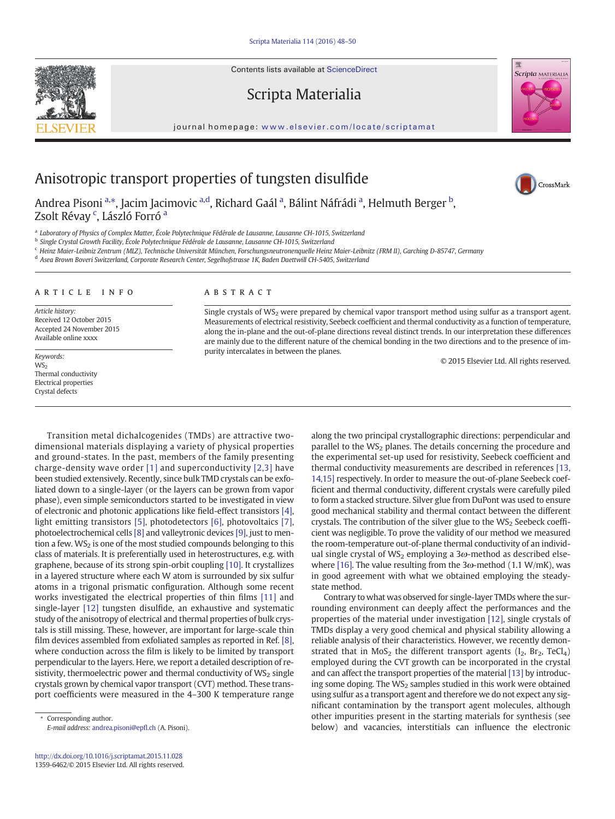Contents lists available at ScienceDirect

## Scripta Materialia

journal homepage: <www.elsevier.com/locate/scriptamat>



CrossMark

# Anisotropic transport properties of tungsten disulfide

Andrea Pisoni <sup>a,</sup>\*, Jacim Jacimovic <sup>a,d</sup>, Richard Gaál <sup>a</sup>, Bálint Náfrádi <sup>a</sup>, Helmuth Berger <sup>b</sup>, Zsolt Révay <sup>c</sup>, László Forró <sup>a</sup>

<sup>a</sup> Laboratory of Physics of Complex Matter, École Polytechnique Fédérale de Lausanne, Lausanne CH-1015, Switzerland

<sup>b</sup> Single Crystal Growth Facility, École Polytechnique Fédérale de Lausanne, Lausanne CH-1015, Switzerland

<sup>c</sup> Heinz Maier-Leibniz Zentrum (MLZ), Technische Universität München, Forschungsneutronenquelle Heinz Maier-Leibnitz (FRM II), Garching D-85747, Germany

<sup>d</sup> Asea Brown Boveri Switzerland, Corporate Research Center, Segelhofstrasse 1K, Baden Daettwill CH-5405, Switzerland

### article info abstract

Article history: Received 12 October 2015 Accepted 24 November 2015 Available online xxxx

WS: Thermal conductivity Electrical properties Crystal defects

Single crystals of  $WS_2$  were prepared by chemical vapor transport method using sulfur as a transport agent. Measurements of electrical resistivity, Seebeck coefficient and thermal conductivity as a function of temperature, along the in-plane and the out-of-plane directions reveal distinct trends. In our interpretation these differences are mainly due to the different nature of the chemical bonding in the two directions and to the presence of impurity intercalates in between the planes. Express to the control of the party increased. The process in performances in the parties.<br>We are the control of 2015 Elsevier Ltd. All rights reserved.

### Transition metal dichalcogenides (TMDs) are attractive twodimensional materials displaying a variety of physical properties and ground-states. In the past, members of the family presenting charge-density wave order [\[1\]](#page-2-0) and superconductivity [\[2,3\]](#page-2-0) have been studied extensively. Recently, since bulk TMD crystals can be exfoliated down to a single-layer (or the layers can be grown from vapor phase), even simple semiconductors started to be investigated in view of electronic and photonic applications like field-effect transistors [\[4\],](#page-2-0) light emitting transistors [\[5\],](#page-2-0) photodetectors [\[6\],](#page-2-0) photovoltaics [\[7\],](#page-2-0) photoelectrochemical cells [\[8\]](#page-2-0) and valleytronic devices [\[9\]](#page-2-0), just to mention a few.  $WS_2$  is one of the most studied compounds belonging to this class of materials. It is preferentially used in heterostructures, e.g. with graphene, because of its strong spin-orbit coupling [\[10\].](#page-2-0) It crystallizes in a layered structure where each W atom is surrounded by six sulfur atoms in a trigonal prismatic configuration. Although some recent works investigated the electrical properties of thin films [\[11\]](#page-2-0) and single-layer [\[12\]](#page-2-0) tungsten disulfide, an exhaustive and systematic study of the anisotropy of electrical and thermal properties of bulk crystals is still missing. These, however, are important for large-scale thin film devices assembled from exfoliated samples as reported in Ref. [\[8\],](#page-2-0) where conduction across the film is likely to be limited by transport perpendicular to the layers. Here, we report a detailed description of resistivity, thermoelectric power and thermal conductivity of  $WS_2$  single crystals grown by chemical vapor transport (CVT) method. These transport coefficients were measured in the 4–300 K temperature range

E-mail address: [andrea.pisoni@ep](mailto:andrea.pisoni@epfl.ch)fl.ch (A. Pisoni).

along the two principal crystallographic directions: perpendicular and parallel to the  $WS_2$  planes. The details concerning the procedure and the experimental set-up used for resistivity, Seebeck coefficient and thermal conductivity measurements are described in references [\[13,](#page-2-0) [14,15\]](#page-2-0) respectively. In order to measure the out-of-plane Seebeck coefficient and thermal conductivity, different crystals were carefully piled to form a stacked structure. Silver glue from DuPont was used to ensure good mechanical stability and thermal contact between the different crystals. The contribution of the silver glue to the  $WS_2$  Seebeck coefficient was negligible. To prove the validity of our method we measured the room-temperature out-of-plane thermal conductivity of an individual single crystal of WS<sub>2</sub> employing a  $3\omega$ -method as described else-where [\[16\].](#page-2-0) The value resulting from the  $3\omega$ -method (1.1 W/mK), was in good agreement with what we obtained employing the steadystate method.

Contrary to what was observed for single-layer TMDs where the surrounding environment can deeply affect the performances and the properties of the material under investigation [\[12\]](#page-2-0), single crystals of TMDs display a very good chemical and physical stability allowing a reliable analysis of their characteristics. However, we recently demonstrated that in  $MoS_2$  the different transport agents ( $I_2$ ,  $Br_2$ ,  $TeCl_4$ ) employed during the CVT growth can be incorporated in the crystal and can affect the transport properties of the material [\[13\]](#page-2-0) by introducing some doping. The WS<sub>2</sub> samples studied in this work were obtained using sulfur as a transport agent and therefore we do not expect any significant contamination by the transport agent molecules, although other impurities present in the starting materials for synthesis (see below) and vacancies, interstitials can influence the electronic



Corresponding author.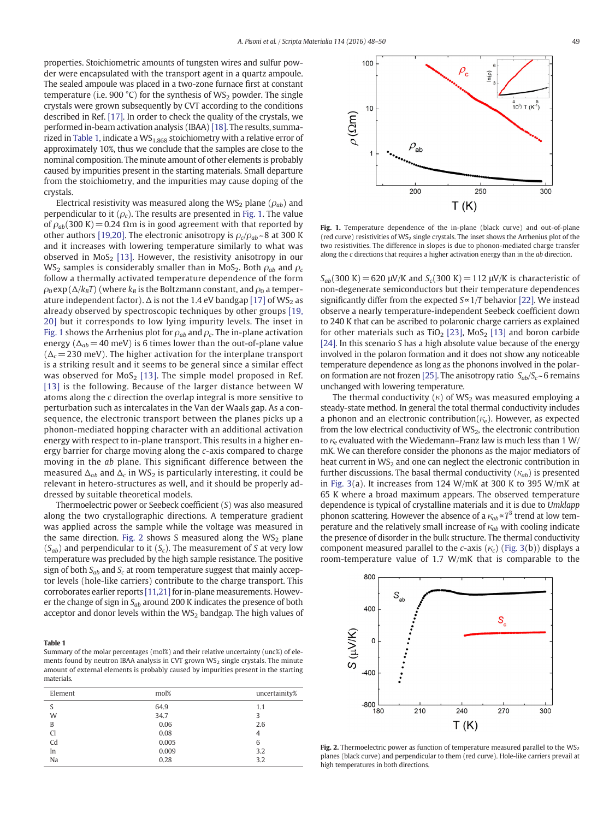properties. Stoichiometric amounts of tungsten wires and sulfur powder were encapsulated with the transport agent in a quartz ampoule. The sealed ampoule was placed in a two-zone furnace first at constant temperature (i.e. 900 °C) for the synthesis of  $WS_2$  powder. The single crystals were grown subsequently by CVT according to the conditions described in Ref. [\[17\]](#page-2-0). In order to check the quality of the crystals, we performed in-beam activation analysis (IBAA) [\[18\]](#page-2-0). The results, summarized in Table 1, indicate a  $WS_{1.868}$  stoichiometry with a relative error of approximately 10%, thus we conclude that the samples are close to the nominal composition. The minute amount of other elements is probably caused by impurities present in the starting materials. Small departure from the stoichiometry, and the impurities may cause doping of the crystals.

Electrical resistivity was measured along the WS<sub>2</sub> plane ( $\rho_{ab}$ ) and perpendicular to it  $(\rho_c)$ . The results are presented in Fig. 1. The value of  $\rho_{ab}$ (300 K) = 0.24  $\Omega$ m is in good agreement with that reported by other authors [\[19,20\].](#page-2-0) The electronic anisotropy is  $\rho_c/\rho_{ab} \sim 8$  at 300 K and it increases with lowering temperature similarly to what was observed in  $MoS<sub>2</sub>$  [\[13\]](#page-2-0). However, the resistivity anisotropy in our WS<sub>2</sub> samples is considerably smaller than in MoS<sub>2</sub>. Both  $\rho_{ab}$  and  $\rho_c$ follow a thermally activated temperature dependence of the form  $\rho_0$  exp ( $\Delta/k_BT$ ) (where  $k_B$  is the Boltzmann constant, and  $\rho_0$  a temperature independent factor).  $\Delta$  is not the 1.4 eV bandgap [\[17\]](#page-2-0) of WS<sub>2</sub> as already observed by spectroscopic techniques by other groups [\[19,](#page-2-0) [20\]](#page-2-0) but it corresponds to low lying impurity levels. The inset in Fig. 1 shows the Arrhenius plot for  $\rho_{ab}$  and  $\rho_c$ . The in-plane activation energy ( $\Delta_{ab}$  = 40 meV) is 6 times lower than the out-of-plane value  $(\Delta_c= 230 \text{ meV})$ . The higher activation for the interplane transport is a striking result and it seems to be general since a similar effect was observed for  $MoS<sub>2</sub>$  [\[13\].](#page-2-0) The simple model proposed in Ref. [\[13\]](#page-2-0) is the following. Because of the larger distance between W atoms along the c direction the overlap integral is more sensitive to perturbation such as intercalates in the Van der Waals gap. As a consequence, the electronic transport between the planes picks up a phonon-mediated hopping character with an additional activation energy with respect to in-plane transport. This results in a higher energy barrier for charge moving along the c-axis compared to charge moving in the ab plane. This significant difference between the measured  $\Delta_{ab}$  and  $\Delta_c$  in WS<sub>2</sub> is particularly interesting, it could be relevant in hetero-structures as well, and it should be properly addressed by suitable theoretical models.

Thermoelectric power or Seebeck coefficient (S) was also measured along the two crystallographic directions. A temperature gradient was applied across the sample while the voltage was measured in the same direction. Fig. 2 shows S measured along the  $WS_2$  plane  $(S_{ab})$  and perpendicular to it  $(S_c)$ . The measurement of S at very low temperature was precluded by the high sample resistance. The positive sign of both  $S_{ab}$  and  $S_c$  at room temperature suggest that mainly acceptor levels (hole-like carriers) contribute to the charge transport. This corroborates earlier reports [\[11,21\]](#page-2-0) for in-plane measurements. However the change of sign in  $S_{ab}$  around 200 K indicates the presence of both acceptor and donor levels within the  $WS_2$  bandgap. The high values of

------ -<br>Summary of the molar percentages (mol%) and their relative uncertainty (unc%) of elements found by neutron IBAA analysis in CVT grown WS<sub>2</sub> single crystals. The minute amount of external elements is probably caused by impurities present in the starting materials.

| Element       | mol%  | uncertainity% |
|---------------|-------|---------------|
| S             | 64.9  | 1.1           |
| W             | 34.7  | 3             |
| B             | 0.06  | 2.6           |
| <sub>C1</sub> | 0.08  | 4             |
| Cd            | 0.005 | 6             |
| In            | 0.009 | 3.2           |
| Na            | 0.28  | 3.2           |
|               |       |               |



Fig. 1. Temperature dependence of the in-plane (black curve) and out-of-plane (red curve) resistivities of  $WS_2$  single crystals. The inset shows the Arrhenius plot of the two resistivities. The difference in slopes is due to phonon-mediated charge transfer along the  $c$  directions that requires a higher activation energy than in the  $ab$  direction.

 $S_{ab}(300 \text{ K}) = 620 \text{ }\mu\text{V/K}$  and  $S_c(300 \text{ K}) = 112 \text{ }\mu\text{V/K}$  is characteristic of non-degenerate semiconductors but their temperature dependences significantly differ from the expected S∝1/T behavior [\[22\]](#page-2-0). We instead observe a nearly temperature-independent Seebeck coefficient down to 240 K that can be ascribed to polaronic charge carriers as explained for other materials such as TiO<sub>2</sub> [\[23\],](#page-2-0) MoS<sub>2</sub> [\[13\]](#page-2-0) and boron carbide [\[24\].](#page-2-0) In this scenario S has a high absolute value because of the energy involved in the polaron formation and it does not show any noticeable temperature dependence as long as the phonons involved in the polar-on formation are not frozen [\[25\]](#page-2-0). The anisotropy ratio  $S_{ab}/S_c \sim 6$  remains unchanged with lowering temperature.

The thermal conductivity  $(\kappa)$  of WS<sub>2</sub> was measured employing a steady-state method. In general the total thermal conductivity includes a phonon and an electronic contribution( $\kappa_e$ ). However, as expected from the low electrical conductivity of WS<sub>2</sub>, the electronic contribution to  $\kappa_e$  evaluated with the Wiedemann–Franz law is much less than 1 W/ mK. We can therefore consider the phonons as the major mediators of heat current in  $WS_2$  and one can neglect the electronic contribution in further discussions. The basal thermal conductivity ( $\kappa_{ab}$ ) is presented in [Fig. 3\(](#page-2-0)a). It increases from 124 W/mK at 300 K to 395 W/mK at 65 K where a broad maximum appears. The observed temperature dependence is typical of crystalline materials and it is due to Umklapp phonon scattering. However the absence of a  $\kappa_{ab} \propto T^3$  trend at low temperature and the relatively small increase of  $\kappa_{ab}$  with cooling indicate the presence of disorder in the bulk structure. The thermal conductivity component measured parallel to the c-axis ( $\kappa_c$ ) ([Fig. 3](#page-2-0)(b)) displays a room-temperature value of 1.7 W/mK that is comparable to the



Fig. 2. Thermoelectric power as function of temperature measured parallel to the  $\mathsf{WS}_2$ planes (black curve) and perpendicular to them (red curve). Hole-like carriers prevail at high temperatures in both directions.